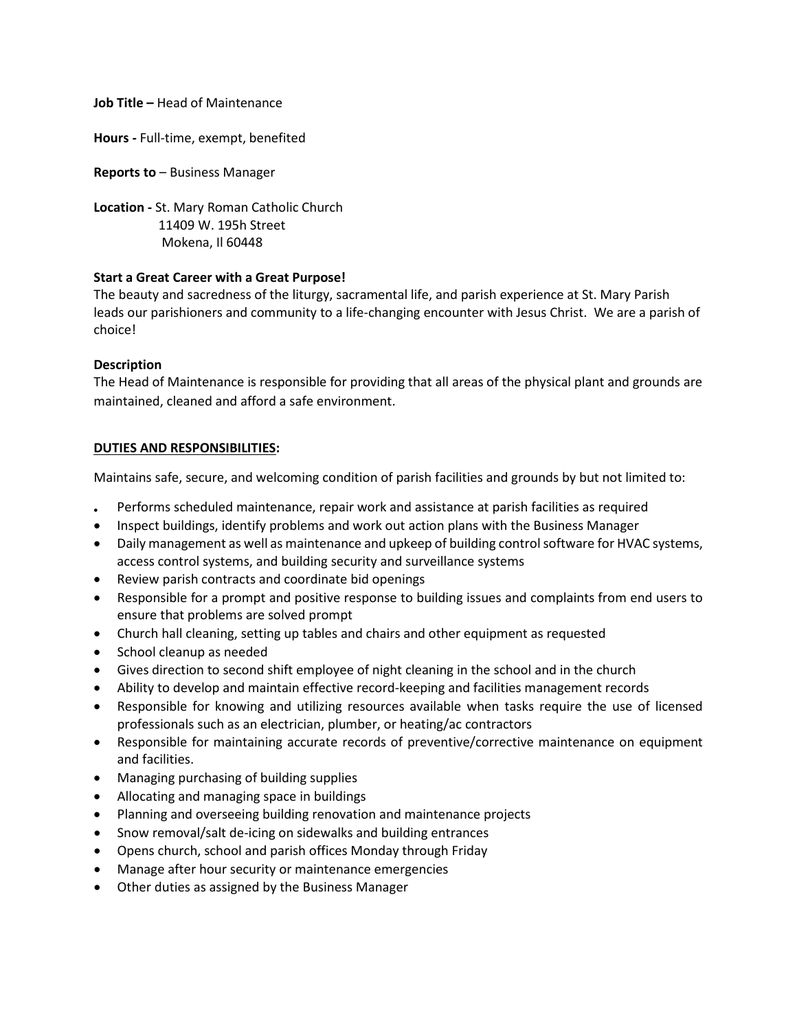**Job Title –** Head of Maintenance

**Hours -** Full-time, exempt, benefited

**Reports to** – Business Manager

**Location -** St. Mary Roman Catholic Church 11409 W. 195h Street Mokena, Il 60448

# **Start a Great Career with a Great Purpose!**

The beauty and sacredness of the liturgy, sacramental life, and parish experience at St. Mary Parish leads our parishioners and community to a life-changing encounter with Jesus Christ. We are a parish of choice!

# **Description**

The Head of Maintenance is responsible for providing that all areas of the physical plant and grounds are maintained, cleaned and afford a safe environment.

# **DUTIES AND RESPONSIBILITIES:**

Maintains safe, secure, and welcoming condition of parish facilities and grounds by but not limited to:

- Performs scheduled maintenance, repair work and assistance at parish facilities as required
- Inspect buildings, identify problems and work out action plans with the Business Manager
- Daily management as well as maintenance and upkeep of building control software for HVAC systems, access control systems, and building security and surveillance systems
- Review parish contracts and coordinate bid openings
- Responsible for a prompt and positive response to building issues and complaints from end users to ensure that problems are solved prompt
- Church hall cleaning, setting up tables and chairs and other equipment as requested
- School cleanup as needed
- Gives direction to second shift employee of night cleaning in the school and in the church
- Ability to develop and maintain effective record-keeping and facilities management records
- Responsible for knowing and utilizing resources available when tasks require the use of licensed professionals such as an electrician, plumber, or heating/ac contractors
- Responsible for maintaining accurate records of preventive/corrective maintenance on equipment and facilities.
- Managing purchasing of building supplies
- Allocating and managing space in buildings
- Planning and overseeing building renovation and maintenance projects
- Snow removal/salt de-icing on sidewalks and building entrances
- Opens church, school and parish offices Monday through Friday
- Manage after hour security or maintenance emergencies
- Other duties as assigned by the Business Manager